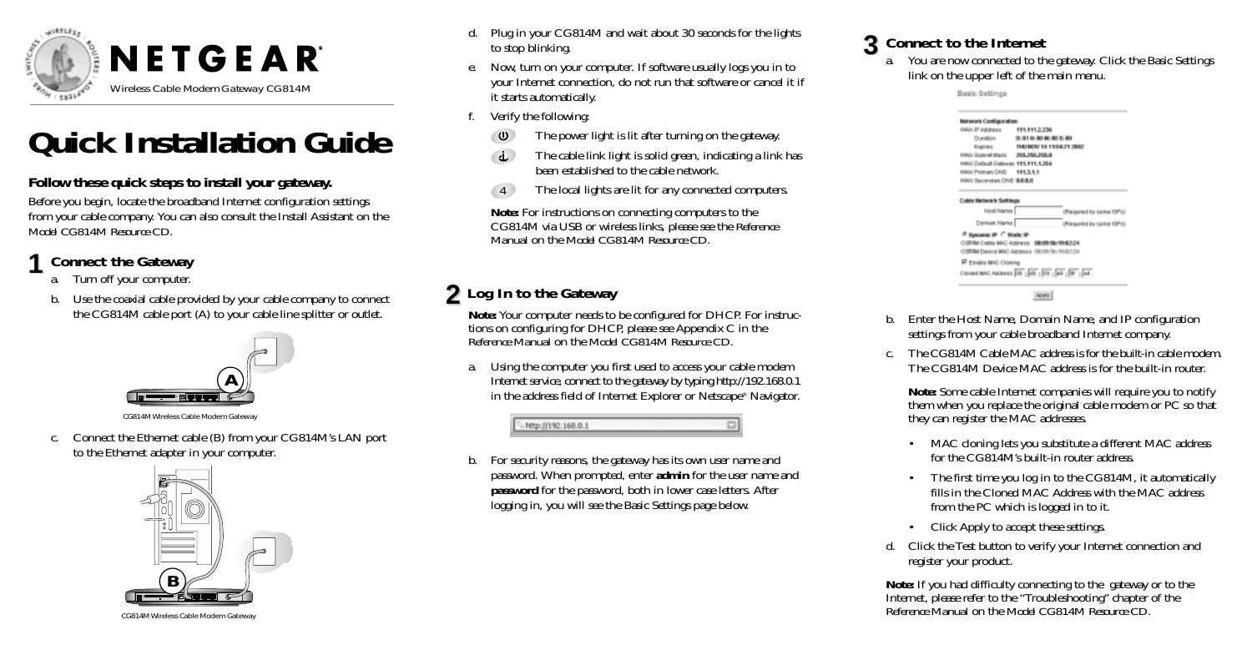

# **Quick Installation Guide**

#### **Follow these quick steps to install your gateway.**

Before you begin, locate the broadband Internet configuration settings from your cable company. You can also consult the Install Assistant on the *Model CG814M Resource CD*.

### **1 Connect the Gateway**

- a. Turn off your computer.
- b. Use the coaxial cable provided by your cable company to connect the CG814M cable port (A) to your cable line splitter or outlet.



CG814M Wireless Cable Modem Gateway

c. Connect the Ethernet cable (B) from your CG814M's LAN port to the Ethernet adapter in your computer.



CG814M Wireless Cable Modem Gateway

- d. Plug in your CG814M and wait about 30 seconds for the lights to stop blinking.
- e. Now, turn on your computer. If software usually logs you in to your Internet connection, do not run that software or cancel it if it starts automatically.
- f. Verify the following:
	- $\cup$ The power light is lit after turning on the gateway.
	- The cable link light is solid green, indicating a link has  $\mathbf{d}$ been established to the cable network.
	- The local lights are lit for any connected computers. 4

**Note:** For instructions on connecting computers to the CG814M via USB or wireless links, please see the *Reference Manual* on the *Model CG814M Resource CD*.

## **2 Log In to the Gateway**

**Note:** Your computer needs to be configured for DHCP. For instructions on configuring for DHCP, please see Appendix C in the *Reference Manual* on the *Model CG814M Resource CD*.

a. Using the computer you first used to access your cable modem Internet service, connect to the gateway by typing http://192.168.0.1 in the address field of Internet Explorer or Netscape® Navigator.

http://192.168.0.1

b. For security reasons, the gateway has its own user name and password. When prompted, enter **admin** for the user name and **password** for the password, both in lower case letters. After logging in, you will see the Basic Settings page below.

# **3 Connect to the Internet**

You are now connected to the gateway. Click the Basic Settings link on the upper left of the main menu.

Basic Settings

| Network Configuration                     |                                                                                             |
|-------------------------------------------|---------------------------------------------------------------------------------------------|
| HIAN IP Address #11,111.2.236             |                                                                                             |
|                                           | Dunidion 0: 01 H: 00 M: 00 S: 00                                                            |
|                                           | Expires THUMOV 14 11/54/21 2002                                                             |
| WIRAN SILLBUVINE WILBURY 2105-2155-2155-0 |                                                                                             |
| WHAI Default Galeway 111,111,1254         |                                                                                             |
| WIAN Primary ONS 911.3.1.1                |                                                                                             |
| <b>FIAN Secondary CIVS G.G.LO</b>         |                                                                                             |
| <b>Cobie Network Settings</b>             |                                                                                             |
| Host Name                                 | (Required by some ISPs)                                                                     |
| Domain Name                               | (Required by some ISPIC)                                                                    |
| If Dysanic IP C Static IP                 | 0007484 Cable MAC Address 08:08:58:19:62:28<br>CORTAIN Device MAC Address 08:09:56:99:82:26 |
| <b>P</b> Essate MAC Cloring               |                                                                                             |

Apply

- b. Enter the Host Name, Domain Name, and IP configuration settings from your cable broadband Internet company.
- c. The CG814M Cable MAC address is for the built-in cable modem. The CG814M Device MAC address is for the built-in router.

**Note:** Some cable Internet companies will require you to notify them when you replace the original cable modem or PC so that they can register the MAC addresses.

- • MAC cloning lets you substitute a different MAC address for the CG814M's built-in router address.
- • The first time you log in to the CG814M, it automatically fills in the Cloned MAC Address with the MAC address from the PC which is logged in to it.
- Click Apply to accept these settings.
- d. Click the Test button to verify your Internet connection and register your product.

**Note:** If you had difficulty connecting to the gateway or to the Internet, please refer to the "Troubleshooting" chapter of the *Reference Manual* on the *Model CG814M Resource CD.*